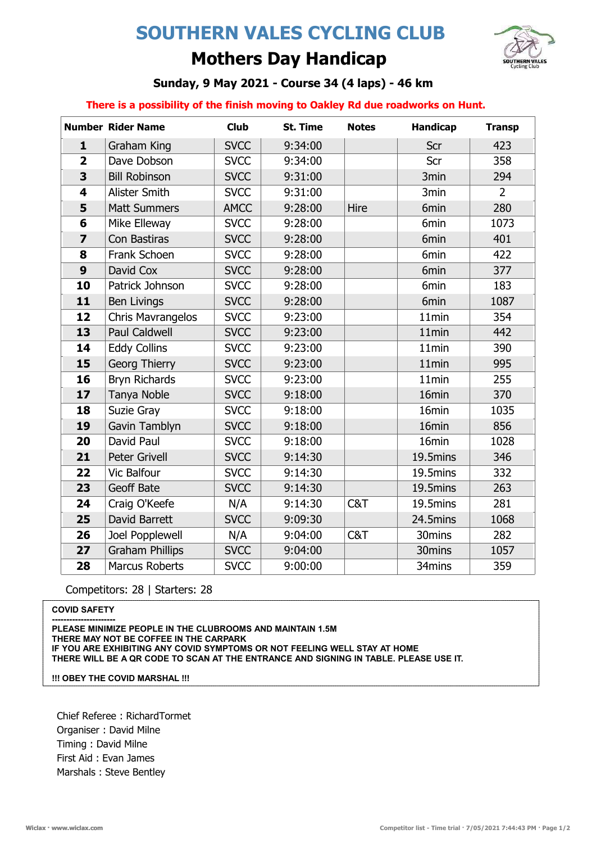# SOUTHERN VALES CYCLING CLUB





## Sunday, 9 May 2021 - Course 34 (4 laps) - 46 km

### There is a possibility of the finish moving to Oakley Rd due roadworks on Hunt.

|                         | <b>Number Rider Name</b> | <b>Club</b> | <b>St. Time</b> | <b>Notes</b> | <b>Handicap</b> | <b>Transp</b>  |
|-------------------------|--------------------------|-------------|-----------------|--------------|-----------------|----------------|
| $\mathbf{1}$            | <b>Graham King</b>       | <b>SVCC</b> | 9:34:00         |              | Scr             | 423            |
| $\overline{\mathbf{2}}$ | Dave Dobson              | <b>SVCC</b> | 9:34:00         |              | Scr             | 358            |
| 3                       | <b>Bill Robinson</b>     | <b>SVCC</b> | 9:31:00         |              | 3min            | 294            |
| $\overline{\mathbf{4}}$ | <b>Alister Smith</b>     | <b>SVCC</b> | 9:31:00         |              | 3min            | $\overline{2}$ |
| 5                       | <b>Matt Summers</b>      | <b>AMCC</b> | 9:28:00         | Hire         | 6min            | 280            |
| 6                       | Mike Elleway             | <b>SVCC</b> | 9:28:00         |              | 6min            | 1073           |
| $\overline{z}$          | Con Bastiras             | <b>SVCC</b> | 9:28:00         |              | 6min            | 401            |
| 8                       | Frank Schoen             | <b>SVCC</b> | 9:28:00         |              | 6min            | 422            |
| 9                       | David Cox                | <b>SVCC</b> | 9:28:00         |              | 6min            | 377            |
| 10                      | Patrick Johnson          | <b>SVCC</b> | 9:28:00         |              | 6min            | 183            |
| 11                      | <b>Ben Livings</b>       | <b>SVCC</b> | 9:28:00         |              | 6min            | 1087           |
| 12                      | Chris Mavrangelos        | <b>SVCC</b> | 9:23:00         |              | 11min           | 354            |
| 13                      | <b>Paul Caldwell</b>     | <b>SVCC</b> | 9:23:00         |              | 11min           | 442            |
| 14                      | <b>Eddy Collins</b>      | <b>SVCC</b> | 9:23:00         |              | 11min           | 390            |
| 15                      | Georg Thierry            | <b>SVCC</b> | 9:23:00         |              | 11min           | 995            |
| 16                      | <b>Bryn Richards</b>     | <b>SVCC</b> | 9:23:00         |              | 11min           | 255            |
| 17                      | <b>Tanya Noble</b>       | <b>SVCC</b> | 9:18:00         |              | 16min           | 370            |
| 18                      | Suzie Gray               | <b>SVCC</b> | 9:18:00         |              | 16min           | 1035           |
| 19                      | Gavin Tamblyn            | <b>SVCC</b> | 9:18:00         |              | 16min           | 856            |
| 20                      | David Paul               | <b>SVCC</b> | 9:18:00         |              | 16min           | 1028           |
| 21                      | <b>Peter Grivell</b>     | <b>SVCC</b> | 9:14:30         |              | 19.5mins        | 346            |
| 22                      | Vic Balfour              | <b>SVCC</b> | 9:14:30         |              | 19.5mins        | 332            |
| 23                      | Geoff Bate               | <b>SVCC</b> | 9:14:30         |              | 19.5mins        | 263            |
| 24                      | Craig O'Keefe            | N/A         | 9:14:30         | C&T          | 19.5mins        | 281            |
| 25                      | David Barrett            | <b>SVCC</b> | 9:09:30         |              | 24.5mins        | 1068           |
| 26                      | Joel Popplewell          | N/A         | 9:04:00         | C&T          | 30mins          | 282            |
| 27                      | <b>Graham Phillips</b>   | <b>SVCC</b> | 9:04:00         |              | 30mins          | 1057           |
| 28                      | <b>Marcus Roberts</b>    | <b>SVCC</b> | 9:00:00         |              | 34mins          | 359            |

Competitors: 28 | Starters: 28

#### COVID SAFETY

---------------------- PLEASE MINIMIZE PEOPLE IN THE CLUBROOMS AND MAINTAIN 1.5M THERE MAY NOT BE COFFEE IN THE CARPARK IF YOU ARE EXHIBITING ANY COVID SYMPTOMS OR NOT FEELING WELL STAY AT HOME THERE WILL BE A QR CODE TO SCAN AT THE ENTRANCE AND SIGNING IN TABLE. PLEASE USE IT.

!!! OBEY THE COVID MARSHAL !!!

Chief Referee : RichardTormet Organiser : David Milne Timing : David Milne First Aid : Evan James Marshals : Steve Bentley